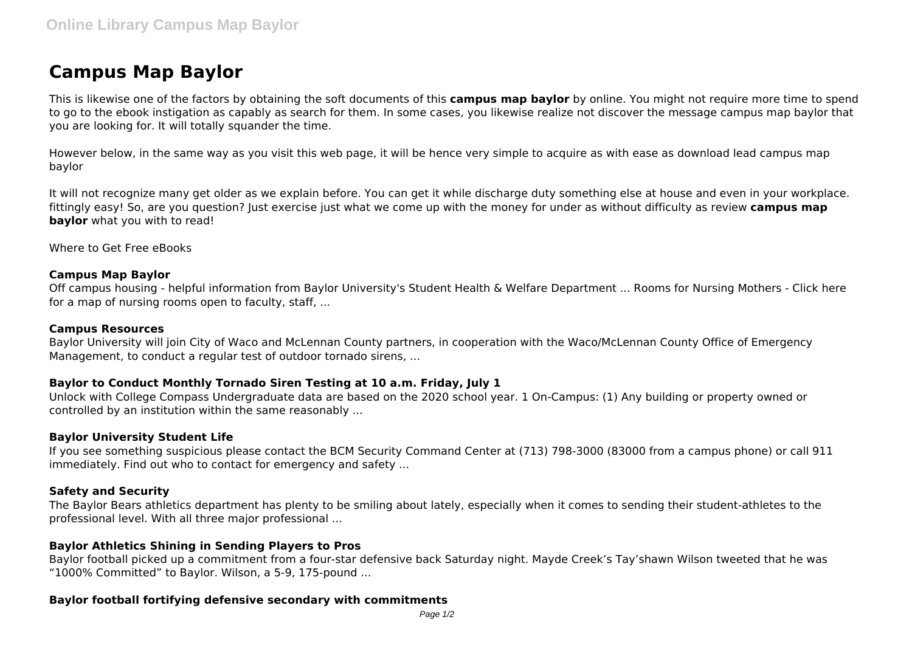# **Campus Map Baylor**

This is likewise one of the factors by obtaining the soft documents of this **campus map baylor** by online. You might not require more time to spend to go to the ebook instigation as capably as search for them. In some cases, you likewise realize not discover the message campus map baylor that you are looking for. It will totally squander the time.

However below, in the same way as you visit this web page, it will be hence very simple to acquire as with ease as download lead campus map baylor

It will not recognize many get older as we explain before. You can get it while discharge duty something else at house and even in your workplace. fittingly easy! So, are you question? Just exercise just what we come up with the money for under as without difficulty as review **campus map baylor** what you with to read!

Where to Get Free eBooks

#### **Campus Map Baylor**

Off campus housing - helpful information from Baylor University's Student Health & Welfare Department ... Rooms for Nursing Mothers - Click here for a map of nursing rooms open to faculty, staff, ...

## **Campus Resources**

Baylor University will join City of Waco and McLennan County partners, in cooperation with the Waco/McLennan County Office of Emergency Management, to conduct a regular test of outdoor tornado sirens, ...

### **Baylor to Conduct Monthly Tornado Siren Testing at 10 a.m. Friday, July 1**

Unlock with College Compass Undergraduate data are based on the 2020 school year. 1 On-Campus: (1) Any building or property owned or controlled by an institution within the same reasonably ...

#### **Baylor University Student Life**

If you see something suspicious please contact the BCM Security Command Center at (713) 798-3000 (83000 from a campus phone) or call 911 immediately. Find out who to contact for emergency and safety ...

#### **Safety and Security**

The Baylor Bears athletics department has plenty to be smiling about lately, especially when it comes to sending their student-athletes to the professional level. With all three major professional ...

#### **Baylor Athletics Shining in Sending Players to Pros**

Baylor football picked up a commitment from a four-star defensive back Saturday night. Mayde Creek's Tay'shawn Wilson tweeted that he was "1000% Committed" to Baylor. Wilson, a 5-9, 175-pound ...

#### **Baylor football fortifying defensive secondary with commitments**